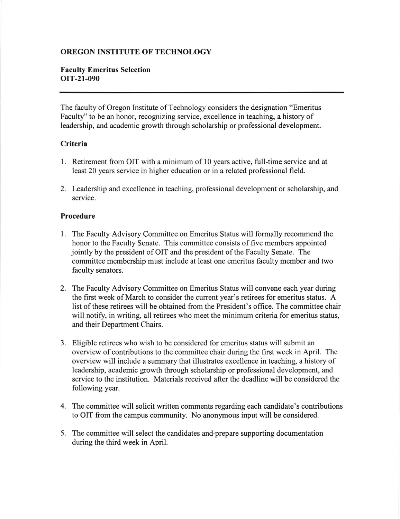# OREGON INSTITUTE OF TECHNOLOGY

## Faculty Emeritus Selection oIT-21-090

The faculty of Oregon lnstitute of Technology considers the designation "Emeritus Faculty'' to be an honor, recognizing service, excellence in teaching, a history of leadership, and academic growth through scholarship or professional development.

#### **Criteria**

- 1. Retirement from OIT with a minimum of 10 years active, full-time service and at least 20 years service in higher education or in a related professional field.
- 2. Leadership and excellence in teaching, professional development or scholarship, and service.

### Procedure

- The Faculty Advisory Committee on Emeritus Status will formally recommend the honor to the Faculty Senate. This committee consists of five members appointed jointly by the president of OIT and the president of the Faculty Senate. The committee membership must include at least one emeritus faculty member and two faculty senators.
- 2. The Faculty Advisory Committee on Emeritus Status will convene each year during the first week of March to consider the current year's retirees for emeritus status. A list of these retirees will be obtained from the President's office. The committee chair will notify, in writing, all retirees who meet the minimum criteria for emeritus status, and their Department Chairs.
- 3. Eligible retirees who wish to be considered for emeritus status will submit an overview of contributions to the committee chair during the first week in April. The overview will include a summary that illustrates excellence in teaching, a history of leadership, academic growth through scholarship or professional development, and service to the institution. Materials received after the deadline will be considered the following year.
- 4. The committee will solicit written comments regarding each candidate's contributions to OIT from the campus community. No anonymous input will be considered.
- 5. The committee will select the candidates and-prepare supporting documentation during the third week in April.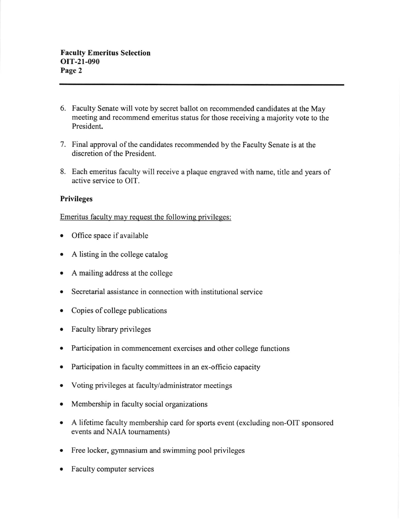- 6. Faculty Senate will vote by secret ballot on recommended candidates at the May meeting and recommend emeritus status for those receiving a majority vote to the President.
- 7. Final approval of the candidates recommended by the Faculty Senate is at the discretion of the President.
- 8. Each emeritus faculty will receive a plaque engraved with name, title and years of active service to OIT.

## Privileges

Emeritus faculty may request the following privileges:

- Office space if available
- a A listing in the college catalog
- a A mailing address at the college
- a Secretarial assistance in connection with institutional service
- Copies of college publications
- Faculty library privileges ٠
- a Participation in commencement exercises and other college functions
- a Participation in faculty committees in an ex-officio capacity
- a Voting privileges at faculty/administrator meetings
- Membership in faculty social organizations  $\bullet$
- A lifetime faculty membership card for sports event (excluding non-OIT sponsored events and NAIA toumaments)
- Free locker, gymnasium and swimming pool privileges
- Faculty computer services